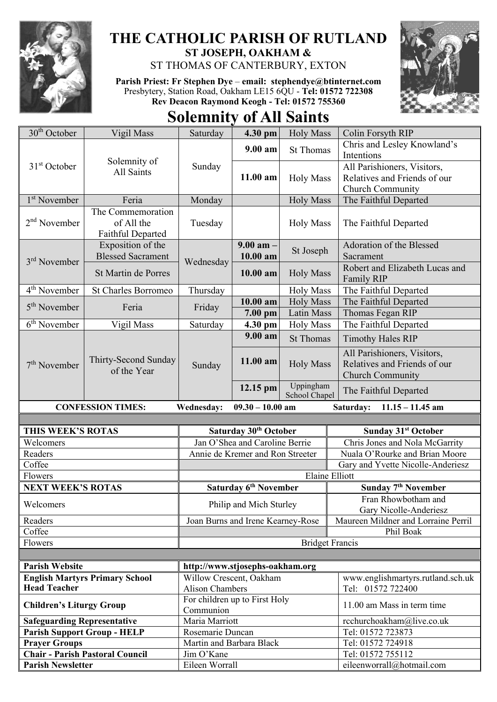

## **THE CATHOLIC PARISH OF RUTLAND ST JOSEPH, OAKHAM &**

ST THOMAS OF CANTERBURY, EXTON

**Parish Priest: Fr Stephen Dye** – **[email: stephendye@btinternet.com](mailto:email:%20%20stephendye@btinternet.com)** Presbytery, Station Road, Oakham LE15 6QU - **Tel: 01572 722308 Rev Deacon Raymond Keogh - Tel: 01572 755360**



## **Solemnity of All Saints**

| 30 <sup>th</sup> October              | Vigil Mass                                           | Saturday                                   | 4.30 pm                                                      | <b>Holy Mass</b>           | Colin Forsyth RIP                                                               |
|---------------------------------------|------------------------------------------------------|--------------------------------------------|--------------------------------------------------------------|----------------------------|---------------------------------------------------------------------------------|
| $31st$ October                        | Solemnity of<br>All Saints                           | Sunday                                     | $9.00$ am                                                    | <b>St Thomas</b>           | Chris and Lesley Knowland's<br>Intentions                                       |
|                                       |                                                      |                                            | 11.00 am                                                     | <b>Holy Mass</b>           | All Parishioners, Visitors,<br>Relatives and Friends of our<br>Church Community |
| 1 <sup>st</sup> November              | Feria                                                | Monday                                     |                                                              | <b>Holy Mass</b>           | The Faithful Departed                                                           |
| $2nd$ November                        | The Commemoration<br>of All the<br>Faithful Departed | Tuesday                                    |                                                              | <b>Holy Mass</b>           | The Faithful Departed                                                           |
| 3 <sup>rd</sup> November              | Exposition of the<br><b>Blessed Sacrament</b>        | Wednesday                                  | $9.00$ am $-$<br>$10.00$ am                                  | St Joseph                  | Adoration of the Blessed<br>Sacrament                                           |
|                                       | St Martin de Porres                                  |                                            | $10.00$ am                                                   | <b>Holy Mass</b>           | Robert and Elizabeth Lucas and<br><b>Family RIP</b>                             |
| 4 <sup>th</sup> November              | <b>St Charles Borromeo</b>                           | Thursday                                   |                                                              | <b>Holy Mass</b>           | The Faithful Departed                                                           |
| $5th$ November                        | Feria                                                | Friday                                     | $10.00$ am                                                   | <b>Holy Mass</b>           | The Faithful Departed                                                           |
|                                       |                                                      |                                            | $7.00$ pm                                                    | <b>Latin Mass</b>          | Thomas Fegan RIP                                                                |
| $6th$ November                        | Vigil Mass                                           | Saturday                                   | 4.30 pm                                                      | <b>Holy Mass</b>           | The Faithful Departed                                                           |
| $7th$ November                        | Thirty-Second Sunday<br>of the Year                  | Sunday                                     | 9.00 am                                                      | <b>St Thomas</b>           | <b>Timothy Hales RIP</b>                                                        |
|                                       |                                                      |                                            | 11.00 am                                                     | <b>Holy Mass</b>           | All Parishioners, Visitors,<br>Relatives and Friends of our<br>Church Community |
|                                       |                                                      |                                            | 12.15 pm                                                     | Uppingham<br>School Chapel | The Faithful Departed                                                           |
|                                       |                                                      |                                            |                                                              |                            |                                                                                 |
|                                       | <b>CONFESSION TIMES:</b>                             | <b>Wednesday:</b>                          | $09.30 - 10.00$ am                                           |                            | Saturday:<br>$11.15 - 11.45$ am                                                 |
|                                       |                                                      |                                            |                                                              |                            |                                                                                 |
| THIS WEEK'S ROTAS                     |                                                      |                                            | Saturday 30 <sup>th</sup> October                            |                            | <b>Sunday 31st October</b>                                                      |
| Welcomers                             |                                                      |                                            | Jan O'Shea and Caroline Berrie                               |                            | Chris Jones and Nola McGarrity                                                  |
| Readers                               |                                                      |                                            | Annie de Kremer and Ron Streeter                             |                            | Nuala O'Rourke and Brian Moore                                                  |
| Coffee                                |                                                      |                                            |                                                              |                            | Gary and Yvette Nicolle-Anderiesz                                               |
| Flowers                               |                                                      |                                            |                                                              | <b>Elaine Elliott</b>      |                                                                                 |
| <b>NEXT WEEK'S ROTAS</b><br>Welcomers |                                                      |                                            | Saturday 6 <sup>th</sup> November<br>Philip and Mich Sturley |                            | Sunday 7 <sup>th</sup> November<br>Fran Rhowbotham and                          |
|                                       |                                                      |                                            |                                                              |                            | Gary Nicolle-Anderiesz                                                          |
| Readers                               |                                                      |                                            | Joan Burns and Irene Kearney-Rose                            |                            | Maureen Mildner and Lorraine Perril                                             |
| Coffee<br>Flowers                     |                                                      |                                            |                                                              | <b>Bridget Francis</b>     | Phil Boak                                                                       |
|                                       |                                                      |                                            |                                                              |                            |                                                                                 |
| <b>Parish Website</b>                 |                                                      | http://www.stjosephs-oakham.org            |                                                              |                            |                                                                                 |
|                                       | <b>English Martyrs Primary School</b>                | Willow Crescent, Oakham                    |                                                              |                            | www.englishmartyrs.rutland.sch.uk                                               |
| <b>Head Teacher</b>                   |                                                      | <b>Alison Chambers</b>                     |                                                              |                            | Tel: 01572 722400                                                               |
| <b>Children's Liturgy Group</b>       |                                                      | For children up to First Holy<br>Communion |                                                              |                            | 11.00 am Mass in term time                                                      |
| <b>Safeguarding Representative</b>    |                                                      | Maria Marriott                             |                                                              |                            | rcchurchoakham@live.co.uk                                                       |
|                                       | <b>Parish Support Group - HELP</b>                   | Rosemarie Duncan                           |                                                              |                            | Tel: 01572 723873                                                               |
| <b>Prayer Groups</b>                  |                                                      | Martin and Barbara Black                   |                                                              |                            | Tel: 01572 724918                                                               |
| <b>Parish Newsletter</b>              | <b>Chair - Parish Pastoral Council</b>               | Jim O'Kane<br>Eileen Worrall               |                                                              |                            | Tel: 01572 755112<br>eileenworrall@hotmail.com                                  |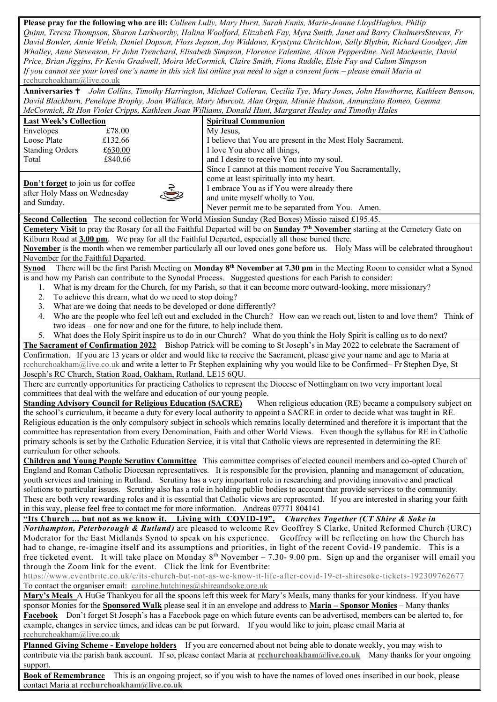**Please pray for the following who are ill:** *Colleen Lully, Mary Hurst, Sarah Ennis, Marie-Jeanne LloydHughes, Philip Quinn, Teresa Thompson, Sharon Larkworthy, Halina Woolford, Elizabeth Fay, Myra Smith, Janet and Barry ChalmersStevens, Fr David Bowler, Annie Welsh, Daniel Dopson, Floss Jepson, Joy Widdows, Krystyna Chritchlow, Sally Blythin, Richard Goodger, Jim Whalley, Anne Stevenson, Fr John Trenchard, Elisabeth Simpson, Florence Valentine, Alison Pepperdine. Neil Mackenzie, David Price, Brian Jiggins, Fr Kevin Gradwell, Moira McCormick, Claire Smith, Fiona Ruddle, Elsie Fay and Calum Simpson If you cannot see your loved one's name in this sick list online you need to sign a consent form – please email Maria at* [rcchurchoakham@live.co.uk](mailto:rcchurchoakham@live.co.uk)

**Anniversaries**  *John Collins, Timothy Harrington, Michael Colleran, Cecilia Tye, Mary Jones, John Hawthorne, Kathleen Benson, David Blackburn, Penelope Brophy, Joan Wallace, Mary Murcott, Alan Organ, Minnie Hudson, Annunziato Romeo, Gemma McCormick, Rt Hon Violet Cripps, Kathleen Joan Williams, Donald Hunt, Margaret Healey and Timothy Hales*

| McCormick, Rt Hon Violet Cripps, Kathleen Joan Williams, Donald Hunt, Margaret Healey and Timothy Hales                                                                                                                                         |                                                                                                                                                                                                                     |  |  |  |  |  |
|-------------------------------------------------------------------------------------------------------------------------------------------------------------------------------------------------------------------------------------------------|---------------------------------------------------------------------------------------------------------------------------------------------------------------------------------------------------------------------|--|--|--|--|--|
| <b>Last Week's Collection</b>                                                                                                                                                                                                                   | <b>Spiritual Communion</b>                                                                                                                                                                                          |  |  |  |  |  |
| £78.00<br>Envelopes                                                                                                                                                                                                                             | My Jesus,                                                                                                                                                                                                           |  |  |  |  |  |
| Loose Plate<br>£132.66                                                                                                                                                                                                                          | I believe that You are present in the Most Holy Sacrament.                                                                                                                                                          |  |  |  |  |  |
| <b>Standing Orders</b><br>£630.00                                                                                                                                                                                                               | I love You above all things,                                                                                                                                                                                        |  |  |  |  |  |
| £840.66<br>Total                                                                                                                                                                                                                                | and I desire to receive You into my soul.                                                                                                                                                                           |  |  |  |  |  |
|                                                                                                                                                                                                                                                 | Since I cannot at this moment receive You Sacramentally,                                                                                                                                                            |  |  |  |  |  |
| <b>Don't forget</b> to join us for coffee                                                                                                                                                                                                       | come at least spiritually into my heart.                                                                                                                                                                            |  |  |  |  |  |
| after Holy Mass on Wednesday                                                                                                                                                                                                                    | I embrace You as if You were already there                                                                                                                                                                          |  |  |  |  |  |
| and Sunday.                                                                                                                                                                                                                                     | and unite myself wholly to You.                                                                                                                                                                                     |  |  |  |  |  |
|                                                                                                                                                                                                                                                 | Never permit me to be separated from You. Amen.                                                                                                                                                                     |  |  |  |  |  |
| Second Collection The second collection for World Mission Sunday (Red Boxes) Missio raised £195.45.                                                                                                                                             |                                                                                                                                                                                                                     |  |  |  |  |  |
|                                                                                                                                                                                                                                                 | Cemetery Visit to pray the Rosary for all the Faithful Departed will be on Sunday 7 <sup>th</sup> November starting at the Cemetery Gate on                                                                         |  |  |  |  |  |
| Kilburn Road at 3.00 pm. We pray for all the Faithful Departed, especially all those buried there.                                                                                                                                              |                                                                                                                                                                                                                     |  |  |  |  |  |
| November is the month when we remember particularly all our loved ones gone before us. Holy Mass will be celebrated throughout                                                                                                                  |                                                                                                                                                                                                                     |  |  |  |  |  |
| November for the Faithful Departed.                                                                                                                                                                                                             |                                                                                                                                                                                                                     |  |  |  |  |  |
| There will be the first Parish Meeting on Monday 8 <sup>th</sup> November at 7.30 pm in the Meeting Room to consider what a Synod<br><b>Synod</b>                                                                                               |                                                                                                                                                                                                                     |  |  |  |  |  |
| is and how my Parish can contribute to the Synodal Process. Suggested questions for each Parish to consider:                                                                                                                                    |                                                                                                                                                                                                                     |  |  |  |  |  |
| 1.                                                                                                                                                                                                                                              | What is my dream for the Church, for my Parish, so that it can become more outward-looking, more missionary?                                                                                                        |  |  |  |  |  |
| 2.<br>To achieve this dream, what do we need to stop doing?                                                                                                                                                                                     |                                                                                                                                                                                                                     |  |  |  |  |  |
| What are we doing that needs to be developed or done differently?<br>3.                                                                                                                                                                         |                                                                                                                                                                                                                     |  |  |  |  |  |
| 4.                                                                                                                                                                                                                                              | Who are the people who feel left out and excluded in the Church? How can we reach out, listen to and love them? Think of                                                                                            |  |  |  |  |  |
| two ideas – one for now and one for the future, to help include them.                                                                                                                                                                           |                                                                                                                                                                                                                     |  |  |  |  |  |
|                                                                                                                                                                                                                                                 | 5. What does the Holy Spirit inspire us to do in our Church? What do you think the Holy Spirit is calling us to do next?                                                                                            |  |  |  |  |  |
|                                                                                                                                                                                                                                                 | The Sacrament of Confirmation 2022 Bishop Patrick will be coming to St Joseph's in May 2022 to celebrate the Sacrament of                                                                                           |  |  |  |  |  |
|                                                                                                                                                                                                                                                 | Confirmation. If you are 13 years or older and would like to receive the Sacrament, please give your name and age to Maria at                                                                                       |  |  |  |  |  |
|                                                                                                                                                                                                                                                 | rechurchoakham@live.co.uk and write a letter to Fr Stephen explaining why you would like to be Confirmed– Fr Stephen Dye, St                                                                                        |  |  |  |  |  |
| Joseph's RC Church, Station Road, Oakham, Rutland, LE15 6QU.                                                                                                                                                                                    |                                                                                                                                                                                                                     |  |  |  |  |  |
|                                                                                                                                                                                                                                                 | There are currently opportunities for practicing Catholics to represent the Diocese of Nottingham on two very important local                                                                                       |  |  |  |  |  |
| committees that deal with the welfare and education of our young people.                                                                                                                                                                        |                                                                                                                                                                                                                     |  |  |  |  |  |
| <b>Standing Advisory Council for Religious Education (SACRE)</b>                                                                                                                                                                                | When religious education (RE) became a compulsory subject on                                                                                                                                                        |  |  |  |  |  |
|                                                                                                                                                                                                                                                 | the school's curriculum, it became a duty for every local authority to appoint a SACRE in order to decide what was taught in RE.                                                                                    |  |  |  |  |  |
|                                                                                                                                                                                                                                                 | Religious education is the only compulsory subject in schools which remains locally determined and therefore it is important that the                                                                               |  |  |  |  |  |
|                                                                                                                                                                                                                                                 | committee has representation from every Denomination, Faith and other World Views. Even though the syllabus for RE in Catholic                                                                                      |  |  |  |  |  |
|                                                                                                                                                                                                                                                 | primary schools is set by the Catholic Education Service, it is vital that Catholic views are represented in determining the RE                                                                                     |  |  |  |  |  |
| curriculum for other schools.                                                                                                                                                                                                                   |                                                                                                                                                                                                                     |  |  |  |  |  |
| Children and Young People Scrutiny Committee This committee comprises of elected council members and co-opted Church of                                                                                                                         |                                                                                                                                                                                                                     |  |  |  |  |  |
|                                                                                                                                                                                                                                                 | England and Roman Catholic Diocesan representatives. It is responsible for the provision, planning and management of education,                                                                                     |  |  |  |  |  |
|                                                                                                                                                                                                                                                 | youth services and training in Rutland. Scrutiny has a very important role in researching and providing innovative and practical                                                                                    |  |  |  |  |  |
|                                                                                                                                                                                                                                                 | solutions to particular issues. Scrutiny also has a role in holding public bodies to account that provide services to the community.                                                                                |  |  |  |  |  |
|                                                                                                                                                                                                                                                 | These are both very rewarding roles and it is essential that Catholic views are represented. If you are interested in sharing your faith                                                                            |  |  |  |  |  |
| in this way, please feel free to contact me for more information. Andreas 07771 804141                                                                                                                                                          |                                                                                                                                                                                                                     |  |  |  |  |  |
|                                                                                                                                                                                                                                                 | "Its Church  but not as we know it. Living with COVID-19". Churches Together (CT Shire & Soke in<br>Northampton, Peterborough & Rutland) are pleased to welcome Rev Geoffrey S Clarke, United Reformed Church (URC) |  |  |  |  |  |
|                                                                                                                                                                                                                                                 |                                                                                                                                                                                                                     |  |  |  |  |  |
| Moderator for the East Midlands Synod to speak on his experience. Geoffrey will be reflecting on how the Church has<br>had to change, re-imagine itself and its assumptions and priorities, in light of the recent Covid-19 pandemic. This is a |                                                                                                                                                                                                                     |  |  |  |  |  |
|                                                                                                                                                                                                                                                 |                                                                                                                                                                                                                     |  |  |  |  |  |
| free ticketed event. It will take place on Monday $8th$ November – 7.30-9.00 pm. Sign up and the organiser will email you<br>through the Zoom link for the event. Click the link for Eventbrite:                                                |                                                                                                                                                                                                                     |  |  |  |  |  |
|                                                                                                                                                                                                                                                 |                                                                                                                                                                                                                     |  |  |  |  |  |
| https://www.eventbrite.co.uk/e/its-church-but-not-as-we-know-it-life-after-covid-19-ct-shiresoke-tickets-192309762677                                                                                                                           |                                                                                                                                                                                                                     |  |  |  |  |  |
| To contact the organiser email: caroline.hutchings@shireandsoke.org.uk<br>Mary's Meals A HuGe Thankyou for all the spoons left this week for Mary's Meals, many thanks for your kindness. If you have                                           |                                                                                                                                                                                                                     |  |  |  |  |  |
|                                                                                                                                                                                                                                                 |                                                                                                                                                                                                                     |  |  |  |  |  |
|                                                                                                                                                                                                                                                 |                                                                                                                                                                                                                     |  |  |  |  |  |
|                                                                                                                                                                                                                                                 | sponsor Monies for the Sponsored Walk please seal it in an envelope and address to Maria - Sponsor Monies - Many thanks                                                                                             |  |  |  |  |  |
| example, changes in service times, and ideas can be put forward. If you would like to join, please email Maria at                                                                                                                               | Facebook Don't forget St Joseph's has a Facebook page on which future events can be advertised, members can be alerted to, for                                                                                      |  |  |  |  |  |

**Planned Giving Scheme - Envelope holders** If you are concerned about not being able to donate weekly, you may wish to contribute via the parish bank account. If so, please contact Maria at **[rcchurchoakham@live.co.uk](mailto:rcchurchoakham@live.co.uk)** Many thanks for your ongoing support.

**Book of Remembrance** This is an ongoing project, so if you wish to have the names of loved ones inscribed in our book, please contact Maria at **[rcchurchoakham@live.co.uk](mailto:rcchurchoakham@live.co.uk)**